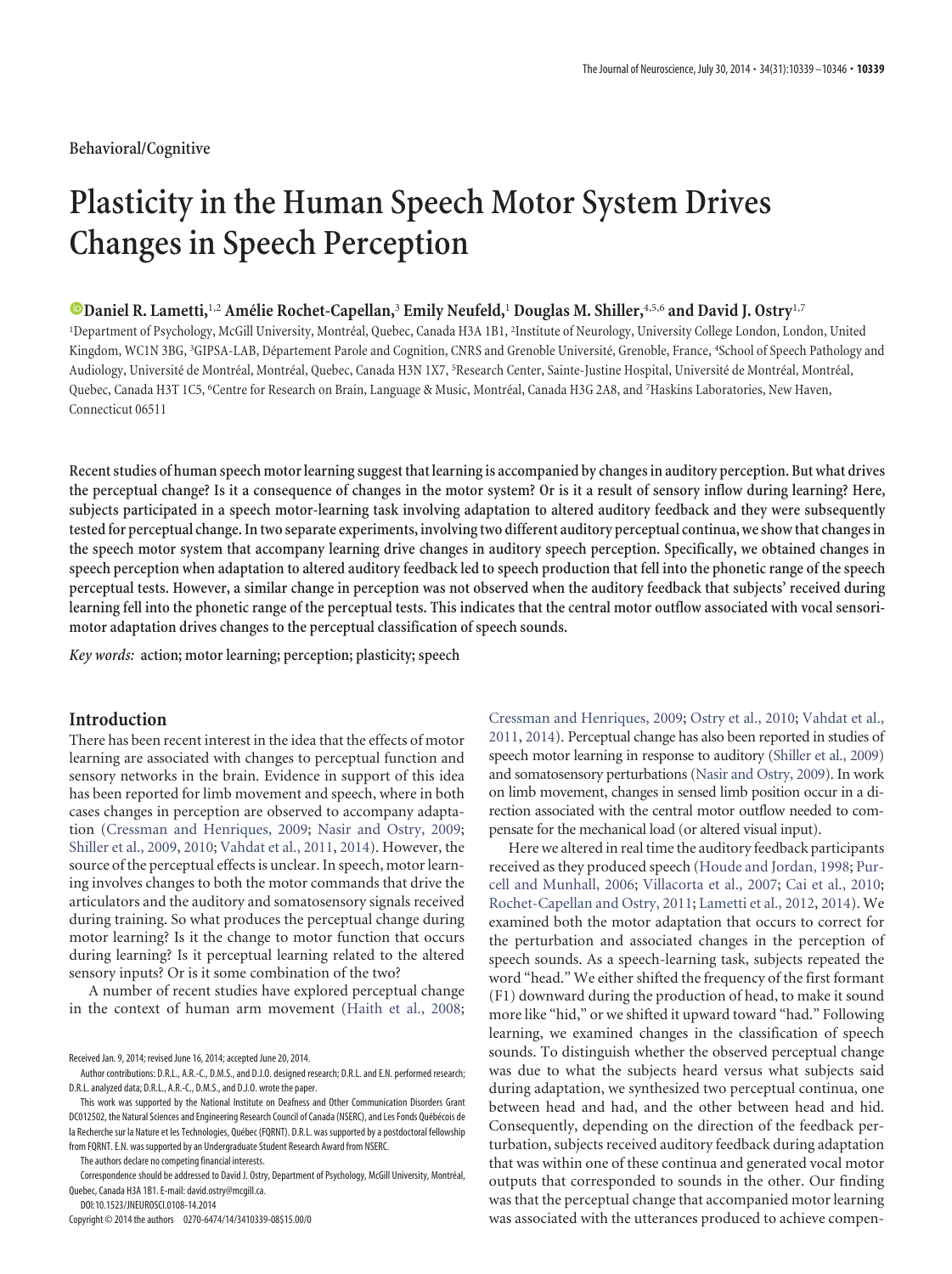## **Behavioral/Cognitive**

# **Plasticity in the Human Speech Motor System Drives Changes in Speech Perception**

# **C** [Daniel R. Lametti,](http://orcid.org/0000-0003-1847-8451)<sup>1,2</sup> Amélie Rochet-Capellan,<sup>3</sup> Emily Neufeld,<sup>1</sup> Douglas M. Shiller,<sup>4,5,6</sup> and David J. Ostry<sup>1,7</sup>

<sup>1</sup>Department of Psychology, McGill University, Montréal, Quebec, Canada H3A 1B1, <sup>2</sup>Institute of Neurology, University College London, London, United Kingdom, WC1N 3BG, <sup>3</sup>GIPSA-LAB, Département Parole and Cognition, CNRS and Grenoble Université, Grenoble, France, <sup>4</sup>School of Speech Pathology and Audiology, Université de Montréal, Montréal, Quebec, Canada H3N 1X7, <sup>5</sup>Research Center, Sainte-Justine Hospital, Université de Montréal, Montréal, Quebec, Canada H3T 1C5, <sup>6</sup>Centre for Research on Brain, Language & Music, Montréal, Canada H3G 2A8, and <sup>7</sup>Haskins Laboratories, New Haven, Connecticut 06511

**Recent studies of human speech motor learning suggest that learning is accompanied by changes in auditory perception. But what drives the perceptual change? Is it a consequence of changes in the motor system? Or is it a result of sensory inflow during learning? Here, subjects participated in a speech motor-learning task involving adaptation to altered auditory feedback and they were subsequently tested for perceptual change. Intwo separate experiments, involvingtwo different auditory perceptual continua, we showthat changes in the speech motor system that accompany learning drive changes in auditory speech perception. Specifically, we obtained changes in speech perception when adaptation to altered auditory feedback led to speech production that fell into the phonetic range of the speech perceptual tests. However, a similar change in perception was not observed when the auditory feedback that subjects' received during learning fell into the phonetic range of the perceptual tests. This indicates that the central motor outflow associated with vocal sensorimotor adaptation drives changes to the perceptual classification of speech sounds.**

*Key words:* **action; motor learning; perception; plasticity; speech**

# **Introduction**

There has been recent interest in the idea that the effects of motor learning are associated with changes to perceptual function and sensory networks in the brain. Evidence in support of this idea has been reported for limb movement and speech, where in both cases changes in perception are observed to accompany adaptation [\(Cressman and Henriques, 2009;](#page-7-0) [Nasir and Ostry, 2009;](#page-7-1) [Shiller et al., 2009,](#page-7-2) [2010;](#page-7-3) [Vahdat et al., 2011,](#page-7-4) [2014\)](#page-7-5). However, the source of the perceptual effects is unclear. In speech, motor learning involves changes to both the motor commands that drive the articulators and the auditory and somatosensory signals received during training. So what produces the perceptual change during motor learning? Is it the change to motor function that occurs during learning? Is it perceptual learning related to the altered sensory inputs? Or is it some combination of the two?

A number of recent studies have explored perceptual change in the context of human arm movement [\(Haith et al., 2008;](#page-7-6)

The authors declare no competing financial interests.

Correspondence should be addressed to David J. Ostry, Department of Psychology, McGill University, Montréal, Quebec, Canada H3A 1B1. E-mail: david.ostry@mcgill.ca.

DOI:10.1523/JNEUROSCI.0108-14.2014 Copyright © 2014 the authors 0270-6474/14/3410339-08\$15.00/0

[Cressman and Henriques, 2009;](#page-7-0) [Ostry et al., 2010;](#page-7-7) [Vahdat et al.,](#page-7-4) [2011,](#page-7-4) [2014\)](#page-7-5). Perceptual change has also been reported in studies of speech motor learning in response to auditory [\(Shiller et al., 2009\)](#page-7-2) and somatosensory perturbations [\(Nasir and Ostry, 2009\)](#page-7-1). In work on limb movement, changes in sensed limb position occur in a direction associated with the central motor outflow needed to compensate for the mechanical load (or altered visual input).

Here we altered in real time the auditory feedback participants received as they produced speech [\(Houde and Jordan, 1998;](#page-7-8) [Pur](#page-7-9)[cell and Munhall, 2006;](#page-7-9) [Villacorta et al., 2007;](#page-7-10) [Cai et al., 2010;](#page-7-11) [Rochet-Capellan and Ostry, 2011;](#page-7-12) [Lametti et al., 2012,](#page-7-13) [2014\)](#page-7-14). We examined both the motor adaptation that occurs to correct for the perturbation and associated changes in the perception of speech sounds. As a speech-learning task, subjects repeated the word "head." We either shifted the frequency of the first formant (F1) downward during the production of head, to make it sound more like "hid," or we shifted it upward toward "had." Following learning, we examined changes in the classification of speech sounds. To distinguish whether the observed perceptual change was due to what the subjects heard versus what subjects said during adaptation, we synthesized two perceptual continua, one between head and had, and the other between head and hid. Consequently, depending on the direction of the feedback perturbation, subjects received auditory feedback during adaptation that was within one of these continua and generated vocal motor outputs that corresponded to sounds in the other. Our finding was that the perceptual change that accompanied motor learning was associated with the utterances produced to achieve compen-

Received Jan. 9, 2014; revised June 16, 2014; accepted June 20, 2014.

Author contributions: D.R.L., A.R.-C., D.M.S., and D.J.O. designed research; D.R.L. and E.N. performed research; D.R.L. analyzed data; D.R.L., A.R.-C., D.M.S., and D.J.O. wrote the paper.

This work was supported by the National Institute on Deafness and Other Communication Disorders Grant DC012502, the Natural Sciences and Engineering Research Council of Canada (NSERC), and Les Fonds Québécois de la Recherche sur la Nature et les Technologies, Québec (FQRNT). D.R.L. was supported by a postdoctoral fellowship from FQRNT. E.N. was supported by an Undergraduate Student Research Award from NSERC.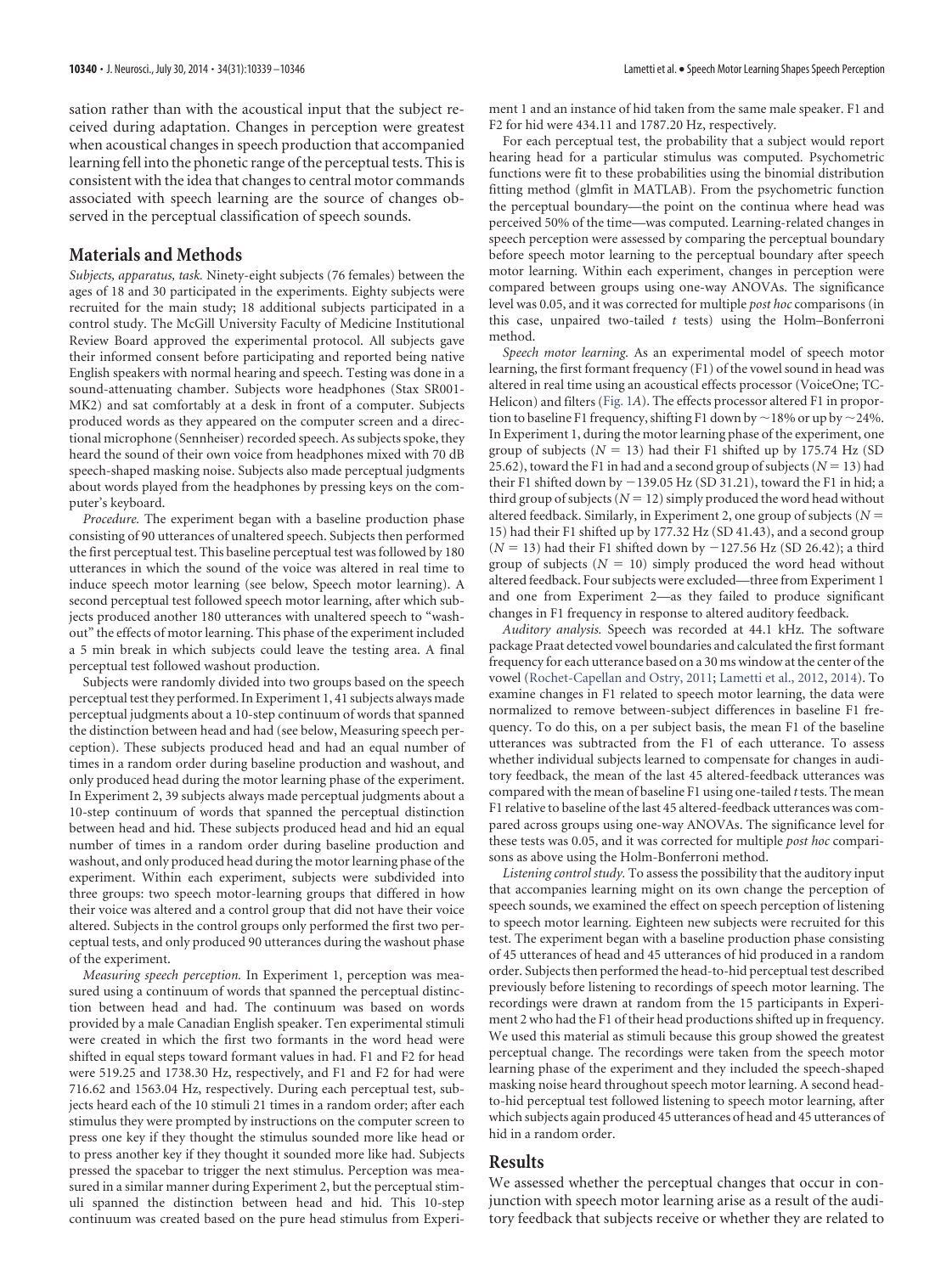sation rather than with the acoustical input that the subject received during adaptation. Changes in perception were greatest when acoustical changes in speech production that accompanied learning fell into the phonetic range of the perceptual tests. This is consistent with the idea that changes to central motor commands associated with speech learning are the source of changes observed in the perceptual classification of speech sounds.

## **Materials and Methods**

*Subjects, apparatus, task.* Ninety-eight subjects (76 females) between the ages of 18 and 30 participated in the experiments. Eighty subjects were recruited for the main study; 18 additional subjects participated in a control study. The McGill University Faculty of Medicine Institutional Review Board approved the experimental protocol. All subjects gave their informed consent before participating and reported being native English speakers with normal hearing and speech. Testing was done in a sound-attenuating chamber. Subjects wore headphones (Stax SR001- MK2) and sat comfortably at a desk in front of a computer. Subjects produced words as they appeared on the computer screen and a directional microphone (Sennheiser) recorded speech. As subjects spoke, they heard the sound of their own voice from headphones mixed with 70 dB speech-shaped masking noise. Subjects also made perceptual judgments about words played from the headphones by pressing keys on the computer's keyboard.

*Procedure.* The experiment began with a baseline production phase consisting of 90 utterances of unaltered speech. Subjects then performed the first perceptual test. This baseline perceptual test was followed by 180 utterances in which the sound of the voice was altered in real time to induce speech motor learning (see below, Speech motor learning). A second perceptual test followed speech motor learning, after which subjects produced another 180 utterances with unaltered speech to "washout" the effects of motor learning. This phase of the experiment included a 5 min break in which subjects could leave the testing area. A final perceptual test followed washout production.

Subjects were randomly divided into two groups based on the speech perceptual test they performed. In Experiment 1, 41 subjects always made perceptual judgments about a 10-step continuum of words that spanned the distinction between head and had (see below, Measuring speech perception). These subjects produced head and had an equal number of times in a random order during baseline production and washout, and only produced head during the motor learning phase of the experiment. In Experiment 2, 39 subjects always made perceptual judgments about a 10-step continuum of words that spanned the perceptual distinction between head and hid. These subjects produced head and hid an equal number of times in a random order during baseline production and washout, and only produced head during the motor learning phase of the experiment. Within each experiment, subjects were subdivided into three groups: two speech motor-learning groups that differed in how their voice was altered and a control group that did not have their voice altered. Subjects in the control groups only performed the first two perceptual tests, and only produced 90 utterances during the washout phase of the experiment.

*Measuring speech perception.* In Experiment 1, perception was measured using a continuum of words that spanned the perceptual distinction between head and had. The continuum was based on words provided by a male Canadian English speaker. Ten experimental stimuli were created in which the first two formants in the word head were shifted in equal steps toward formant values in had. F1 and F2 for head were 519.25 and 1738.30 Hz, respectively, and F1 and F2 for had were 716.62 and 1563.04 Hz, respectively. During each perceptual test, subjects heard each of the 10 stimuli 21 times in a random order; after each stimulus they were prompted by instructions on the computer screen to press one key if they thought the stimulus sounded more like head or to press another key if they thought it sounded more like had. Subjects pressed the spacebar to trigger the next stimulus. Perception was measured in a similar manner during Experiment 2, but the perceptual stimuli spanned the distinction between head and hid. This 10-step continuum was created based on the pure head stimulus from Experiment 1 and an instance of hid taken from the same male speaker. F1 and F2 for hid were 434.11 and 1787.20 Hz, respectively.

For each perceptual test, the probability that a subject would report hearing head for a particular stimulus was computed. Psychometric functions were fit to these probabilities using the binomial distribution fitting method (glmfit in MATLAB). From the psychometric function the perceptual boundary—the point on the continua where head was perceived 50% of the time—was computed. Learning-related changes in speech perception were assessed by comparing the perceptual boundary before speech motor learning to the perceptual boundary after speech motor learning. Within each experiment, changes in perception were compared between groups using one-way ANOVAs. The significance level was 0.05, and it was corrected for multiple *post hoc* comparisons (in this case, unpaired two-tailed *t* tests) using the Holm–Bonferroni method.

*Speech motor learning.* As an experimental model of speech motor learning, the first formant frequency (F1) of the vowel sound in head was altered in real time using an acoustical effects processor (VoiceOne; TC-Helicon) and filters [\(Fig. 1](#page-2-0)*A*). The effects processor altered F1 in proportion to baseline F1 frequency, shifting F1 down by  $\sim$  18% or up by  $\sim$  24%. In Experiment 1, during the motor learning phase of the experiment, one group of subjects ( $N = 13$ ) had their F1 shifted up by 175.74 Hz (SD 25.62), toward the F1 in had and a second group of subjects ( $N = 13$ ) had their F1 shifted down by  $-139.05$  Hz (SD 31.21), toward the F1 in hid; a third group of subjects ( $N = 12$ ) simply produced the word head without altered feedback. Similarly, in Experiment 2, one group of subjects (*N* 15) had their F1 shifted up by 177.32 Hz (SD 41.43), and a second group  $(N = 13)$  had their F1 shifted down by  $-127.56$  Hz (SD 26.42); a third group of subjects  $(N = 10)$  simply produced the word head without altered feedback. Four subjects were excluded—three from Experiment 1 and one from Experiment 2—as they failed to produce significant changes in F1 frequency in response to altered auditory feedback.

*Auditory analysis.* Speech was recorded at 44.1 kHz. The software package Praat detected vowel boundaries and calculated the first formant frequency for each utterance based on a 30 ms window at the center of the vowel [\(Rochet-Capellan and Ostry, 2011;](#page-7-12) [Lametti et al., 2012,](#page-7-13) [2014\)](#page-7-14). To examine changes in F1 related to speech motor learning, the data were normalized to remove between-subject differences in baseline F1 frequency. To do this, on a per subject basis, the mean F1 of the baseline utterances was subtracted from the F1 of each utterance. To assess whether individual subjects learned to compensate for changes in auditory feedback, the mean of the last 45 altered-feedback utterances was compared with the mean of baseline F1 using one-tailed *t* tests. The mean F1 relative to baseline of the last 45 altered-feedback utterances was compared across groups using one-way ANOVAs. The significance level for these tests was 0.05, and it was corrected for multiple *post hoc* comparisons as above using the Holm-Bonferroni method.

*Listening control study.* To assess the possibility that the auditory input that accompanies learning might on its own change the perception of speech sounds, we examined the effect on speech perception of listening to speech motor learning. Eighteen new subjects were recruited for this test. The experiment began with a baseline production phase consisting of 45 utterances of head and 45 utterances of hid produced in a random order. Subjects then performed the head-to-hid perceptual test described previously before listening to recordings of speech motor learning. The recordings were drawn at random from the 15 participants in Experiment 2 who had the F1 of their head productions shifted up in frequency. We used this material as stimuli because this group showed the greatest perceptual change. The recordings were taken from the speech motor learning phase of the experiment and they included the speech-shaped masking noise heard throughout speech motor learning. A second headto-hid perceptual test followed listening to speech motor learning, after which subjects again produced 45 utterances of head and 45 utterances of hid in a random order.

## **Results**

We assessed whether the perceptual changes that occur in conjunction with speech motor learning arise as a result of the auditory feedback that subjects receive or whether they are related to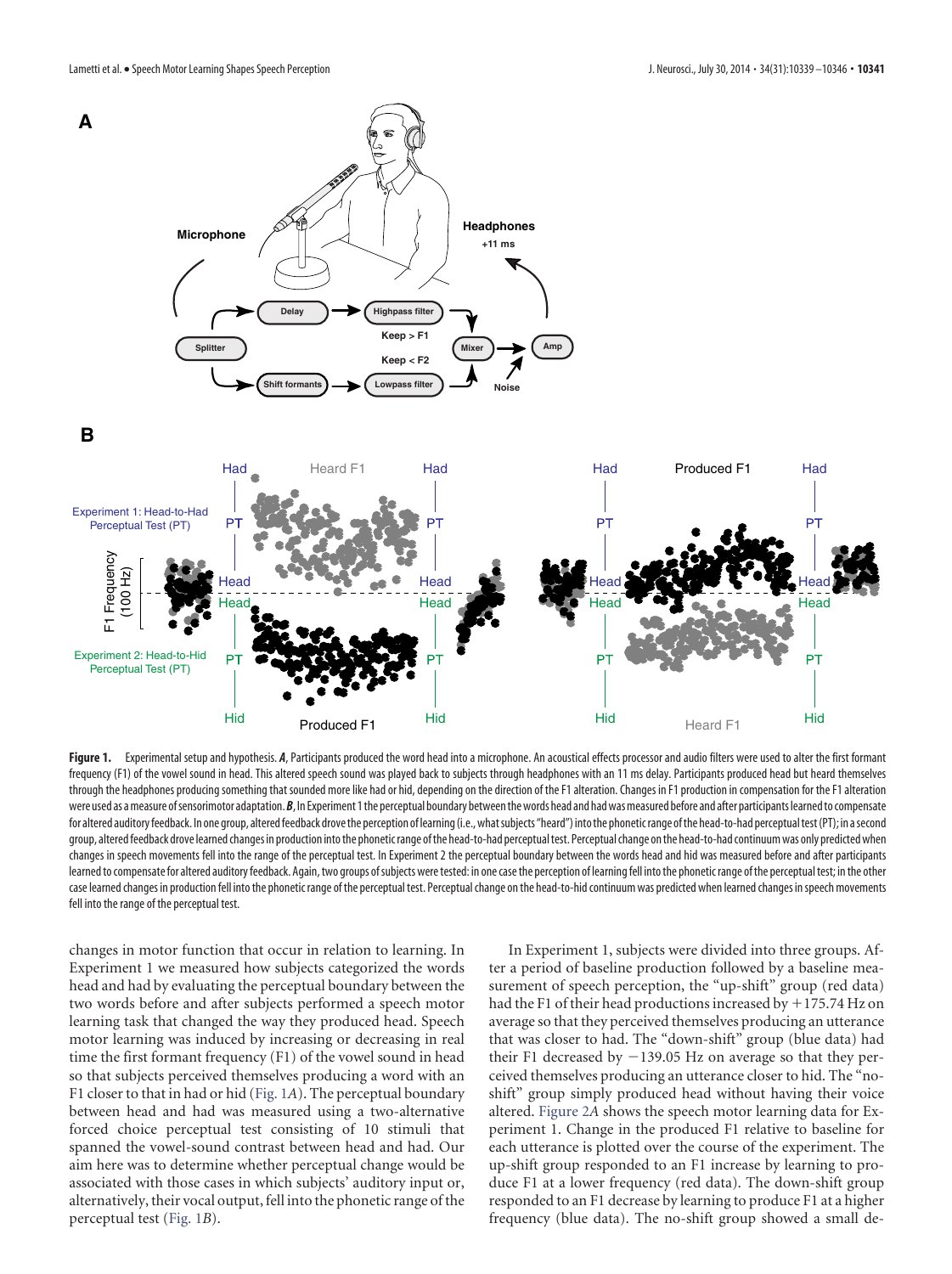

<span id="page-2-0"></span>Figure 1. Experimental setup and hypothesis. A, Participants produced the word head into a microphone. An acoustical effects processor and audio filters were used to alter the first formant frequency (F1) of the vowel sound in head. This altered speech sound was played back to subjects through headphones with an 11 ms delay. Participants produced head but heard themselves through the headphones producing something that sounded more like had or hid, depending on the direction of the F1 alteration. Changes in F1 production in compensation for the F1 alteration were used as a measure of sensorimotor adaptation. *B*, In Experiment 1 the perceptual boundary between the words head and had was measured before and after participants learned to compensate for altered auditory feedback. In one group, altered feedback drove the perception of learning (i.e., what subjects "heard") into the phonetic range of the head-to-had perceptual test (PT); in a second group, altered feedback drove learned changes in production into the phonetic range of the head-to-had perceptual test. Perceptual change on the head-to-had continuum was only predicted when changes in speech movements fell into the range of the perceptual test. In Experiment 2 the perceptual boundary between the words head and hid was measured before and after participants learned to compensate for altered auditory feedback. Again, two groups of subjects were tested: in one case the perception of learning fell into the phonetic range of the perceptual test; in the other case learned changes in production fell into the phonetic range of the perceptual test. Perceptual change on the head-to-hid continuum was predictedwhen learned changes inspeech movements fell into the range of the perceptual test.

changes in motor function that occur in relation to learning. In Experiment 1 we measured how subjects categorized the words head and had by evaluating the perceptual boundary between the two words before and after subjects performed a speech motor learning task that changed the way they produced head. Speech motor learning was induced by increasing or decreasing in real time the first formant frequency (F1) of the vowel sound in head so that subjects perceived themselves producing a word with an F1 closer to that in had or hid [\(Fig. 1](#page-2-0)*A*). The perceptual boundary between head and had was measured using a two-alternative forced choice perceptual test consisting of 10 stimuli that spanned the vowel-sound contrast between head and had. Our aim here was to determine whether perceptual change would be associated with those cases in which subjects' auditory input or, alternatively, their vocal output, fell into the phonetic range of the perceptual test [\(Fig. 1](#page-2-0)*B*).

In Experiment 1, subjects were divided into three groups. After a period of baseline production followed by a baseline measurement of speech perception, the "up-shift" group (red data) had the F1 of their head productions increased by  $+175.74$  Hz on average so that they perceived themselves producing an utterance that was closer to had. The "down-shift" group (blue data) had their F1 decreased by  $-139.05$  Hz on average so that they perceived themselves producing an utterance closer to hid. The "noshift" group simply produced head without having their voice altered. [Figure 2](#page-3-0)*A* shows the speech motor learning data for Experiment 1. Change in the produced F1 relative to baseline for each utterance is plotted over the course of the experiment. The up-shift group responded to an F1 increase by learning to produce F1 at a lower frequency (red data). The down-shift group responded to an F1 decrease by learning to produce F1 at a higher frequency (blue data). The no-shift group showed a small de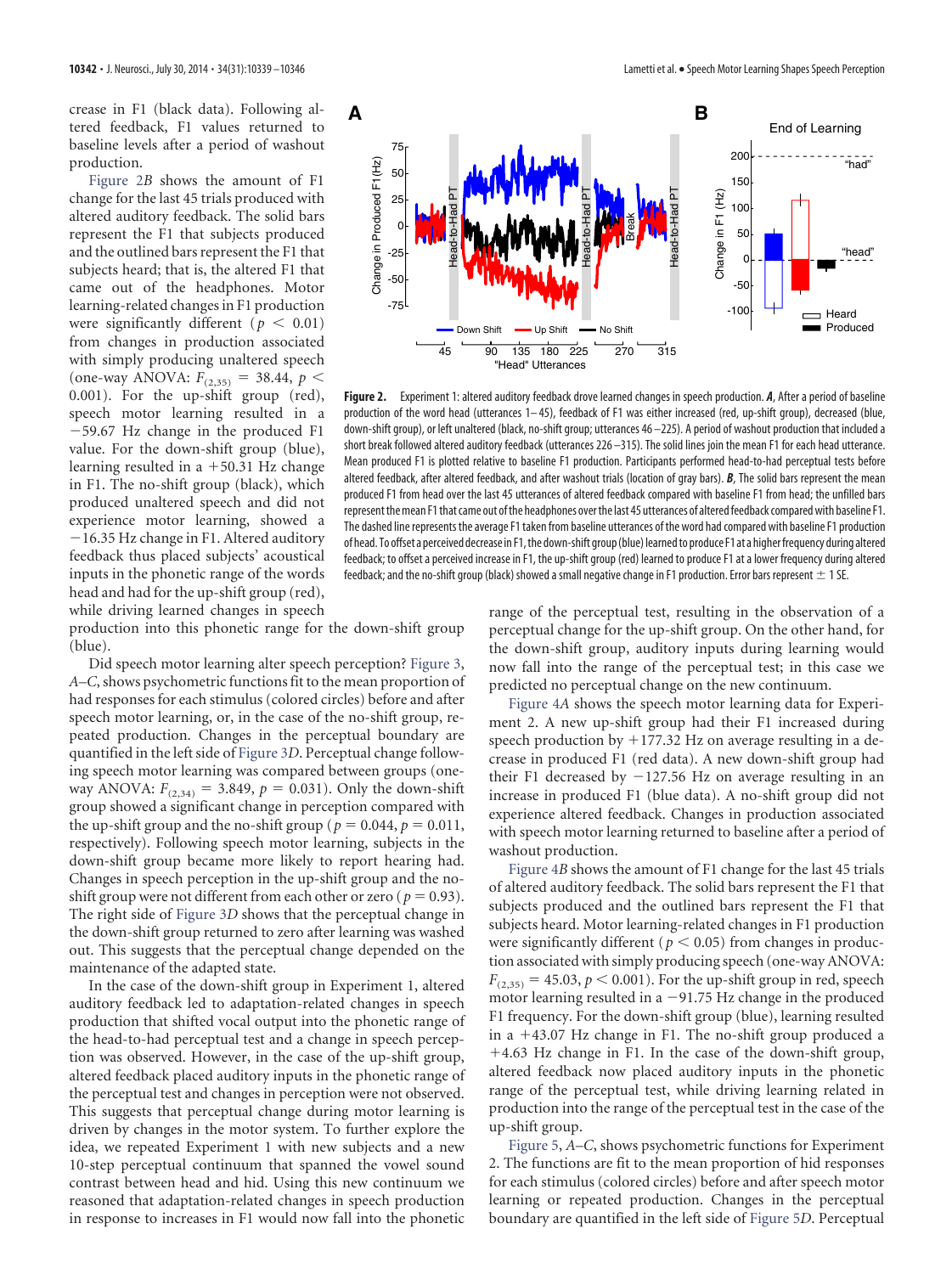crease in F1 (black data). Following altered feedback, F1 values returned to baseline levels after a period of washout production.

[Figure 2](#page-3-0)*B* shows the amount of F1 change for the last 45 trials produced with altered auditory feedback. The solid bars represent the F1 that subjects produced and the outlined bars represent the F1 that subjects heard; that is, the altered F1 that came out of the headphones. Motor learning-related changes in F1 production were significantly different ( $p < 0.01$ ) from changes in production associated with simply producing unaltered speech (one-way ANOVA:  $F_{(2,35)} = 38.44$ ,  $p <$ 0.001). For the up-shift group (red), speech motor learning resulted in a  $-59.67$  Hz change in the produced F1 value. For the down-shift group (blue), learning resulted in a  $+50.31$  Hz change in F1. The no-shift group (black), which produced unaltered speech and did not experience motor learning, showed a  $-16.35$  Hz change in F1. Altered auditory feedback thus placed subjects' acoustical inputs in the phonetic range of the words head and had for the up-shift group (red), while driving learned changes in speech

**10342** • J. Neurosci., July 30, 2014 • 34(31):10339 –10346 **Lametti et al. •** Speech Motor Learning Shapes Speech Perception



<span id="page-3-0"></span>**Figure 2.** Experiment 1: altered auditory feedback drove learned changes in speech production. *A*, After a period of baseline production of the word head (utterances 1–45), feedback of F1 was either increased (red, up-shift group), decreased (blue, down-shift group), or left unaltered (black, no-shift group; utterances 46 –225). A period of washout production that included a short break followed altered auditory feedback (utterances 226 –315). The solid lines join the mean F1 for each head utterance. Mean produced F1 is plotted relative to baseline F1 production. Participants performed head-to-had perceptual tests before altered feedback, after altered feedback, and after washout trials (location of gray bars). *B*, The solid bars represent the mean produced F1 from head over the last 45 utterances of altered feedback compared with baseline F1 from head; the unfilled bars representthemean F1that came out ofthe headphones overthe last 45 utterances of alteredfeedback comparedwith baseline F1. The dashed line represents the average F1 taken from baseline utterances of the word had compared with baseline F1 production of head. To offset a perceived decrease in F1, the down-shift group (blue) learned to produce F1 at a higher frequency during altered feedback; to offset a perceived increase in F1, the up-shift group (red) learned to produce F1 at a lower frequency during altered feedback; and the no-shift group (black) showed a small negative change in F1 production. Error bars represent  $\pm$  1 SE.

production into this phonetic range for the down-shift group (blue).

Did speech motor learning alter speech perception? [Figure 3,](#page-4-0) *A–C*, shows psychometric functions fit to the mean proportion of had responses for each stimulus (colored circles) before and after speech motor learning, or, in the case of the no-shift group, repeated production. Changes in the perceptual boundary are quantified in the left side of [Figure 3](#page-4-0)*D*. Perceptual change following speech motor learning was compared between groups (oneway ANOVA:  $F_{(2,34)} = 3.849$ ,  $p = 0.031$ ). Only the down-shift group showed a significant change in perception compared with the up-shift group and the no-shift group ( $p = 0.044$ ,  $p = 0.011$ , respectively). Following speech motor learning, subjects in the down-shift group became more likely to report hearing had. Changes in speech perception in the up-shift group and the noshift group were not different from each other or zero ( $p = 0.93$ ). The right side of [Figure 3](#page-4-0)*D* shows that the perceptual change in the down-shift group returned to zero after learning was washed out. This suggests that the perceptual change depended on the maintenance of the adapted state.

In the case of the down-shift group in Experiment 1, altered auditory feedback led to adaptation-related changes in speech production that shifted vocal output into the phonetic range of the head-to-had perceptual test and a change in speech perception was observed. However, in the case of the up-shift group, altered feedback placed auditory inputs in the phonetic range of the perceptual test and changes in perception were not observed. This suggests that perceptual change during motor learning is driven by changes in the motor system. To further explore the idea, we repeated Experiment 1 with new subjects and a new 10-step perceptual continuum that spanned the vowel sound contrast between head and hid. Using this new continuum we reasoned that adaptation-related changes in speech production in response to increases in F1 would now fall into the phonetic

range of the perceptual test, resulting in the observation of a perceptual change for the up-shift group. On the other hand, for the down-shift group, auditory inputs during learning would now fall into the range of the perceptual test; in this case we predicted no perceptual change on the new continuum.

[Figure 4](#page-4-1)*A* shows the speech motor learning data for Experiment 2. A new up-shift group had their F1 increased during speech production by  $+177.32$  Hz on average resulting in a decrease in produced F1 (red data). A new down-shift group had their F1 decreased by  $-127.56$  Hz on average resulting in an increase in produced F1 (blue data). A no-shift group did not experience altered feedback. Changes in production associated with speech motor learning returned to baseline after a period of washout production.

[Figure 4](#page-4-1)*B* shows the amount of F1 change for the last 45 trials of altered auditory feedback. The solid bars represent the F1 that subjects produced and the outlined bars represent the F1 that subjects heard. Motor learning-related changes in F1 production were significantly different ( $p < 0.05$ ) from changes in production associated with simply producing speech (one-way ANOVA:  $F_{(2,35)} = 45.03, p \le 0.001$ . For the up-shift group in red, speech motor learning resulted in a  $-91.75$  Hz change in the produced F1 frequency. For the down-shift group (blue), learning resulted in a  $+43.07$  Hz change in F1. The no-shift group produced a 4.63 Hz change in F1. In the case of the down-shift group, altered feedback now placed auditory inputs in the phonetic range of the perceptual test, while driving learning related in production into the range of the perceptual test in the case of the up-shift group.

[Figure 5,](#page-5-0) *A–C*, shows psychometric functions for Experiment 2. The functions are fit to the mean proportion of hid responses for each stimulus (colored circles) before and after speech motor learning or repeated production. Changes in the perceptual boundary are quantified in the left side of [Figure 5](#page-5-0)*D*. Perceptual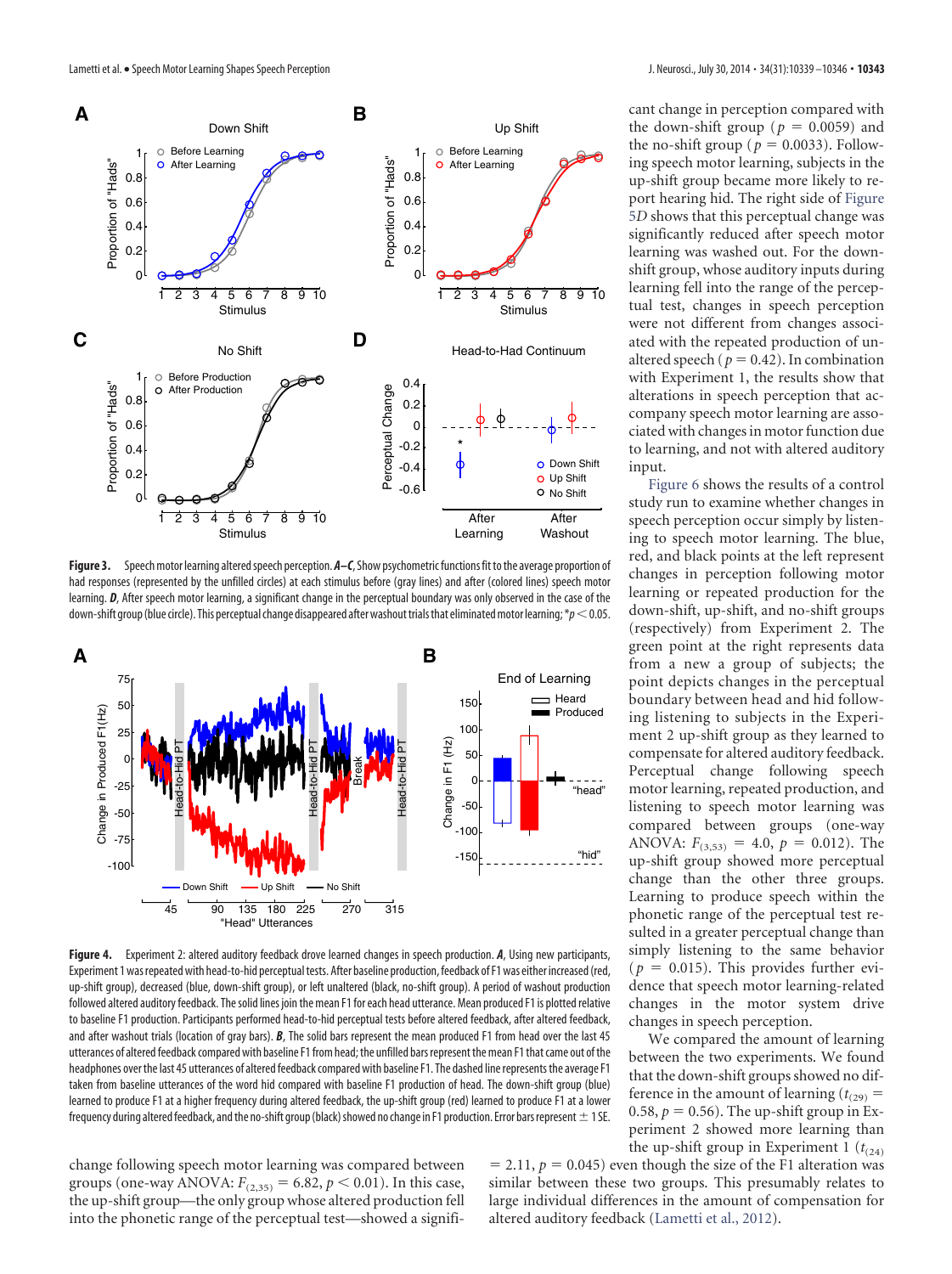

<span id="page-4-0"></span>Figure 3. Speech motor learning altered speech perception.  $A-C$ , Show psychometric functions fit to the average proportion of had responses (represented by the unfilled circles) at each stimulus before (gray lines) and after (colored lines) speech motor learning. **D**, After speech motor learning, a significant change in the perceptual boundary was only observed in the case of the down-shift group (blue circle). This perceptual change disappeared after washout trials that eliminated motor learning;  $\ast p < 0.05$ .



<span id="page-4-1"></span>**Figure 4.** Experiment 2: altered auditory feedback drove learned changes in speech production. *A*, Using new participants, Experiment 1 was repeated with head-to-hid perceptual tests. After baseline production, feedback of F1 was either increased (red, up-shift group), decreased (blue, down-shift group), or left unaltered (black, no-shift group). A period of washout production followed altered auditory feedback. The solid lines join the mean F1 for each head utterance. Mean produced F1 is plotted relative to baseline F1 production. Participants performed head-to-hid perceptual tests before altered feedback, after altered feedback, and after washout trials (location of gray bars). *B*, The solid bars represent the mean produced F1 from head over the last 45 utterances of altered feedback compared with baseline F1 from head; the unfilled bars represent the mean F1 that came out of the headphones over the last 45 utterances of altered feedback compared with baseline F1. The dashed line represents the average F1 taken from baseline utterances of the word hid compared with baseline F1 production of head. The down-shift group (blue) learned to produce F1 at a higher frequency during altered feedback, the up-shift group (red) learned to produce F1 at a lower frequency during altered feedback, and the no-shift group (black) showed no change in F1 production. Error bars represent  $\pm$  1 SE.

change following speech motor learning was compared between groups (one-way ANOVA:  $F_{(2,35)} = 6.82$ ,  $p < 0.01$ ). In this case, the up-shift group—the only group whose altered production fell into the phonetic range of the perceptual test—showed a significant change in perception compared with the down-shift group ( $p = 0.0059$ ) and the no-shift group ( $p = 0.0033$ ). Following speech motor learning, subjects in the up-shift group became more likely to report hearing hid. The right side of [Figure](#page-5-0) [5](#page-5-0)*D* shows that this perceptual change was significantly reduced after speech motor learning was washed out. For the downshift group, whose auditory inputs during learning fell into the range of the perceptual test, changes in speech perception were not different from changes associated with the repeated production of unaltered speech ( $p = 0.42$ ). In combination with Experiment 1, the results show that alterations in speech perception that accompany speech motor learning are associated with changes in motor function due to learning, and not with altered auditory input.

[Figure 6](#page-5-1) shows the results of a control study run to examine whether changes in speech perception occur simply by listening to speech motor learning. The blue, red, and black points at the left represent changes in perception following motor learning or repeated production for the down-shift, up-shift, and no-shift groups (respectively) from Experiment 2. The green point at the right represents data from a new a group of subjects; the point depicts changes in the perceptual boundary between head and hid following listening to subjects in the Experiment 2 up-shift group as they learned to compensate for altered auditory feedback. Perceptual change following speech motor learning, repeated production, and listening to speech motor learning was compared between groups (one-way ANOVA:  $F_{(3,53)} = 4.0, p = 0.012$ . The up-shift group showed more perceptual change than the other three groups. Learning to produce speech within the phonetic range of the perceptual test resulted in a greater perceptual change than simply listening to the same behavior  $(p = 0.015)$ . This provides further evidence that speech motor learning-related changes in the motor system drive changes in speech perception.

We compared the amount of learning between the two experiments. We found that the down-shift groups showed no difference in the amount of learning  $(t_{(29)} =$ 0.58,  $p = 0.56$ ). The up-shift group in Experiment 2 showed more learning than the up-shift group in Experiment 1  $(t_{(24)})$ 

 $= 2.11$ ,  $p = 0.045$ ) even though the size of the F1 alteration was similar between these two groups. This presumably relates to large individual differences in the amount of compensation for altered auditory feedback [\(Lametti et al., 2012\)](#page-7-13).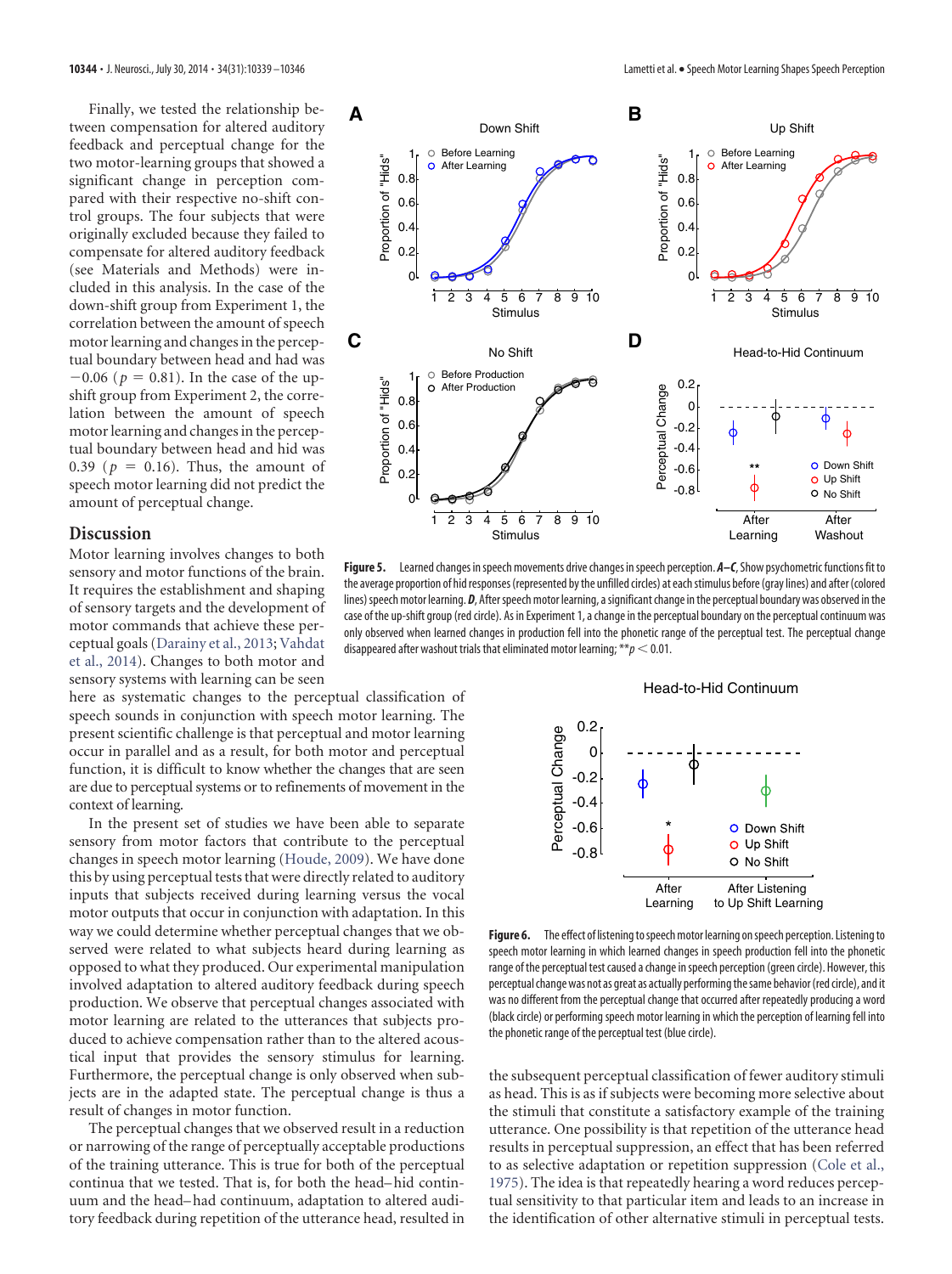Finally, we tested the relationship between compensation for altered auditory feedback and perceptual change for the two motor-learning groups that showed a significant change in perception compared with their respective no-shift control groups. The four subjects that were originally excluded because they failed to compensate for altered auditory feedback (see Materials and Methods) were included in this analysis. In the case of the down-shift group from Experiment 1, the correlation between the amount of speech motor learning and changes in the perceptual boundary between head and had was  $-0.06$  ( $p = 0.81$ ). In the case of the upshift group from Experiment 2, the correlation between the amount of speech motor learning and changes in the perceptual boundary between head and hid was 0.39 ( $p = 0.16$ ). Thus, the amount of speech motor learning did not predict the amount of perceptual change.

## **Discussion**

Motor learning involves changes to both sensory and motor functions of the brain. It requires the establishment and shaping of sensory targets and the development of motor commands that achieve these perceptual goals [\(Darainy et al., 2013;](#page-7-15) [Vahdat](#page-7-5) [et al., 2014\)](#page-7-5). Changes to both motor and sensory systems with learning can be seen

here as systematic changes to the perceptual classification of speech sounds in conjunction with speech motor learning. The present scientific challenge is that perceptual and motor learning occur in parallel and as a result, for both motor and perceptual function, it is difficult to know whether the changes that are seen are due to perceptual systems or to refinements of movement in the context of learning.

In the present set of studies we have been able to separate sensory from motor factors that contribute to the perceptual changes in speech motor learning [\(Houde, 2009\)](#page-7-16). We have done this by using perceptual tests that were directly related to auditory inputs that subjects received during learning versus the vocal motor outputs that occur in conjunction with adaptation. In this way we could determine whether perceptual changes that we observed were related to what subjects heard during learning as opposed to what they produced. Our experimental manipulation involved adaptation to altered auditory feedback during speech production. We observe that perceptual changes associated with motor learning are related to the utterances that subjects produced to achieve compensation rather than to the altered acoustical input that provides the sensory stimulus for learning. Furthermore, the perceptual change is only observed when subjects are in the adapted state. The perceptual change is thus a result of changes in motor function.

The perceptual changes that we observed result in a reduction or narrowing of the range of perceptually acceptable productions of the training utterance. This is true for both of the perceptual continua that we tested. That is, for both the head– hid continuum and the head– had continuum, adaptation to altered auditory feedback during repetition of the utterance head, resulted in



<span id="page-5-0"></span>Figure 5. Learned changes in speech movements drive changes in speech perception. A–C, Show psychometric functions fit to the average proportion of hid responses (represented by the unfilled circles) at eachstimulus before (gray lines) and after (colored lines) speech motor learning. *D*, After speech motor learning, a significant change in the perceptual boundary was observed in the case of the up-shift group (red circle). As in Experiment 1, a change in the perceptual boundary on the perceptual continuum was only observed when learned changes in production fell into the phonetic range of the perceptual test. The perceptual change disappeared after washout trials that eliminated motor learning;  $**p < 0.01$ .

#### Head-to-Hid Continuum

![](_page_5_Figure_11.jpeg)

<span id="page-5-1"></span>Figure 6. The effect of listening to speech motor learning on speech perception. Listening to speech motor learning in which learned changes in speech production fell into the phonetic range of the perceptual test caused a change in speech perception (green circle). However, this perceptual change was not as great as actually performing the same behavior (red circle), and it was no different from the perceptual change that occurred after repeatedly producing a word (black circle) or performing speech motor learning in which the perception of learning fell into the phonetic range of the perceptual test (blue circle).

the subsequent perceptual classification of fewer auditory stimuli as head. This is as if subjects were becoming more selective about the stimuli that constitute a satisfactory example of the training utterance. One possibility is that repetition of the utterance head results in perceptual suppression, an effect that has been referred to as selective adaptation or repetition suppression [\(Cole et al.,](#page-7-17) [1975\)](#page-7-17). The idea is that repeatedly hearing a word reduces perceptual sensitivity to that particular item and leads to an increase in the identification of other alternative stimuli in perceptual tests.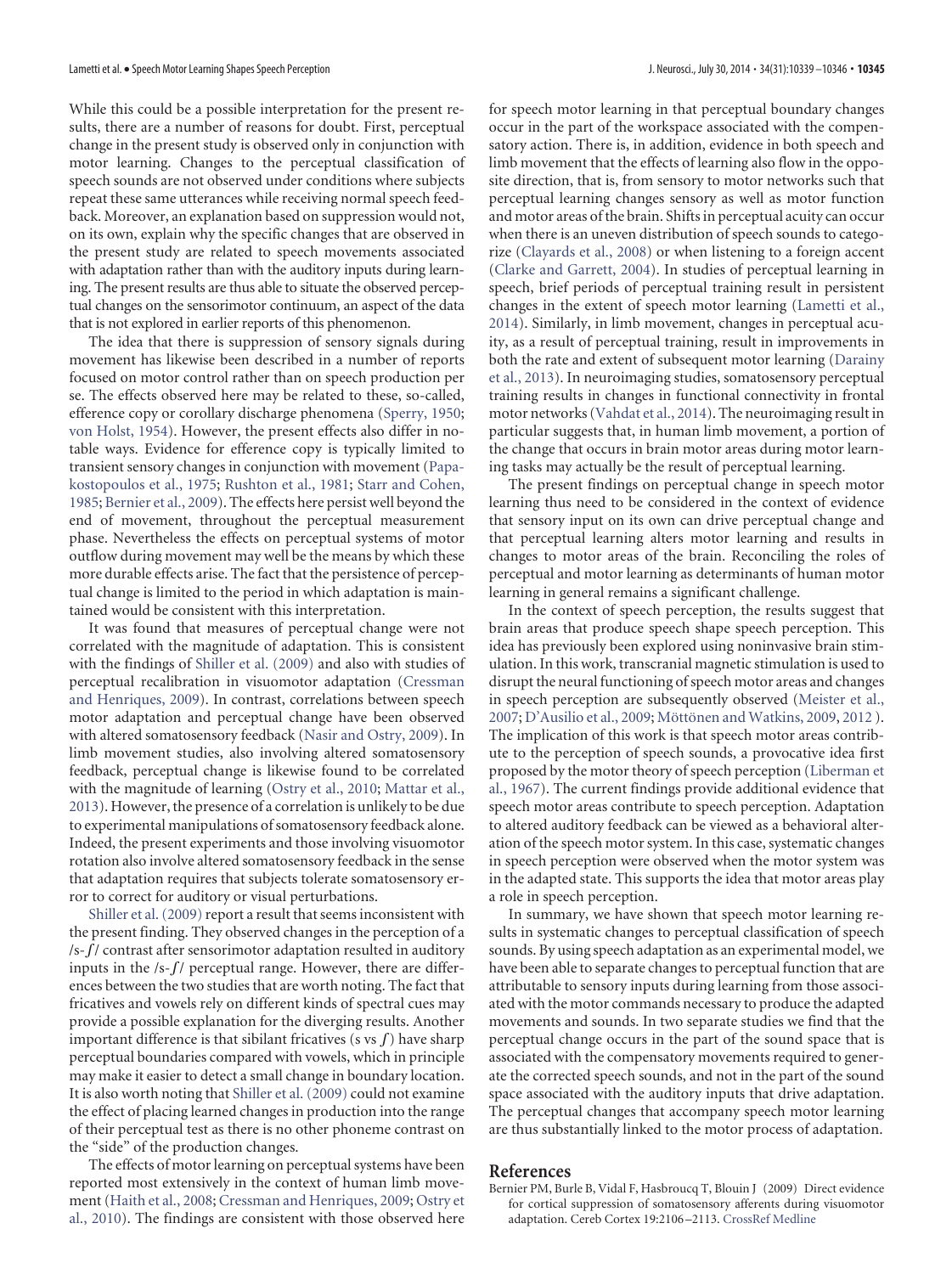While this could be a possible interpretation for the present results, there are a number of reasons for doubt. First, perceptual change in the present study is observed only in conjunction with motor learning. Changes to the perceptual classification of speech sounds are not observed under conditions where subjects repeat these same utterances while receiving normal speech feedback. Moreover, an explanation based on suppression would not, on its own, explain why the specific changes that are observed in the present study are related to speech movements associated with adaptation rather than with the auditory inputs during learning. The present results are thus able to situate the observed perceptual changes on the sensorimotor continuum, an aspect of the data that is not explored in earlier reports of this phenomenon.

The idea that there is suppression of sensory signals during movement has likewise been described in a number of reports focused on motor control rather than on speech production per se. The effects observed here may be related to these, so-called, efference copy or corollary discharge phenomena [\(Sperry, 1950;](#page-7-18) [von Holst, 1954\)](#page-7-19). However, the present effects also differ in notable ways. Evidence for efference copy is typically limited to transient sensory changes in conjunction with movement [\(Papa](#page-7-20)[kostopoulos et al., 1975;](#page-7-20) [Rushton et al., 1981;](#page-7-21) [Starr and Cohen,](#page-7-22) [1985;](#page-7-22) [Bernier et al., 2009\)](#page-6-0). The effects here persist well beyond the end of movement, throughout the perceptual measurement phase. Nevertheless the effects on perceptual systems of motor outflow during movement may well be the means by which these more durable effects arise. The fact that the persistence of perceptual change is limited to the period in which adaptation is maintained would be consistent with this interpretation.

It was found that measures of perceptual change were not correlated with the magnitude of adaptation. This is consistent with the findings of [Shiller et al. \(2009\)](#page-7-2) and also with studies of perceptual recalibration in visuomotor adaptation [\(Cressman](#page-7-0) [and Henriques, 2009\)](#page-7-0). In contrast, correlations between speech motor adaptation and perceptual change have been observed with altered somatosensory feedback [\(Nasir and Ostry, 2009\)](#page-7-1). In limb movement studies, also involving altered somatosensory feedback, perceptual change is likewise found to be correlated with the magnitude of learning [\(Ostry et al., 2010;](#page-7-7) [Mattar et al.,](#page-7-23) [2013\)](#page-7-23). However, the presence of a correlation is unlikely to be due to experimental manipulations of somatosensory feedback alone. Indeed, the present experiments and those involving visuomotor rotation also involve altered somatosensory feedback in the sense that adaptation requires that subjects tolerate somatosensory error to correct for auditory or visual perturbations.

[Shiller et al. \(2009\)](#page-7-2) report a result that seems inconsistent with the present finding. They observed changes in the perception of a  $/s-f/c$  ontrast after sensorimotor adaptation resulted in auditory inputs in the  $/s-f/$  perceptual range. However, there are differences between the two studies that are worth noting. The fact that fricatives and vowels rely on different kinds of spectral cues may provide a possible explanation for the diverging results. Another important difference is that sibilant fricatives (s vs  $\int$ ) have sharp perceptual boundaries compared with vowels, which in principle may make it easier to detect a small change in boundary location. It is also worth noting that [Shiller et al. \(2009\)](#page-7-2) could not examine the effect of placing learned changes in production into the range of their perceptual test as there is no other phoneme contrast on the "side" of the production changes.

The effects of motor learning on perceptual systems have been reported most extensively in the context of human limb movement [\(Haith et al., 2008;](#page-7-6) [Cressman and Henriques, 2009;](#page-7-0) [Ostry et](#page-7-7) [al., 2010\)](#page-7-7). The findings are consistent with those observed here for speech motor learning in that perceptual boundary changes occur in the part of the workspace associated with the compensatory action. There is, in addition, evidence in both speech and limb movement that the effects of learning also flow in the opposite direction, that is, from sensory to motor networks such that perceptual learning changes sensory as well as motor function and motor areas of the brain. Shifts in perceptual acuity can occur when there is an uneven distribution of speech sounds to categorize [\(Clayards et al., 2008\)](#page-7-24) or when listening to a foreign accent [\(Clarke and Garrett, 2004\)](#page-7-25). In studies of perceptual learning in speech, brief periods of perceptual training result in persistent changes in the extent of speech motor learning [\(Lametti et al.,](#page-7-14) [2014\)](#page-7-14). Similarly, in limb movement, changes in perceptual acuity, as a result of perceptual training, result in improvements in both the rate and extent of subsequent motor learning [\(Darainy](#page-7-15) [et al., 2013\)](#page-7-15). In neuroimaging studies, somatosensory perceptual training results in changes in functional connectivity in frontal motor networks [\(Vahdat et al., 2014\)](#page-7-5). The neuroimaging result in particular suggests that, in human limb movement, a portion of the change that occurs in brain motor areas during motor learning tasks may actually be the result of perceptual learning.

The present findings on perceptual change in speech motor learning thus need to be considered in the context of evidence that sensory input on its own can drive perceptual change and that perceptual learning alters motor learning and results in changes to motor areas of the brain. Reconciling the roles of perceptual and motor learning as determinants of human motor learning in general remains a significant challenge.

In the context of speech perception, the results suggest that brain areas that produce speech shape speech perception. This idea has previously been explored using noninvasive brain stimulation. In this work, transcranial magnetic stimulation is used to disrupt the neural functioning of speech motor areas and changes in speech perception are subsequently observed [\(Meister et al.,](#page-7-26) [2007;](#page-7-26) [D'Ausilio et al., 2009;](#page-7-27) Möttönen and Watkins, 2009, [2012](#page-7-29) ). The implication of this work is that speech motor areas contribute to the perception of speech sounds, a provocative idea first proposed by the motor theory of speech perception [\(Liberman et](#page-7-30) [al., 1967\)](#page-7-30). The current findings provide additional evidence that speech motor areas contribute to speech perception. Adaptation to altered auditory feedback can be viewed as a behavioral alteration of the speech motor system. In this case, systematic changes in speech perception were observed when the motor system was in the adapted state. This supports the idea that motor areas play a role in speech perception.

In summary, we have shown that speech motor learning results in systematic changes to perceptual classification of speech sounds. By using speech adaptation as an experimental model, we have been able to separate changes to perceptual function that are attributable to sensory inputs during learning from those associated with the motor commands necessary to produce the adapted movements and sounds. In two separate studies we find that the perceptual change occurs in the part of the sound space that is associated with the compensatory movements required to generate the corrected speech sounds, and not in the part of the sound space associated with the auditory inputs that drive adaptation. The perceptual changes that accompany speech motor learning are thus substantially linked to the motor process of adaptation.

#### <span id="page-6-0"></span>**References**

Bernier PM, Burle B, Vidal F, Hasbroucq T, Blouin J (2009) Direct evidence for cortical suppression of somatosensory afferents during visuomotor adaptation. Cereb Cortex 19:2106 –2113. [CrossRef](http://dx.doi.org/10.1093/cercor/bhn233) [Medline](http://www.ncbi.nlm.nih.gov/pubmed/19126799)